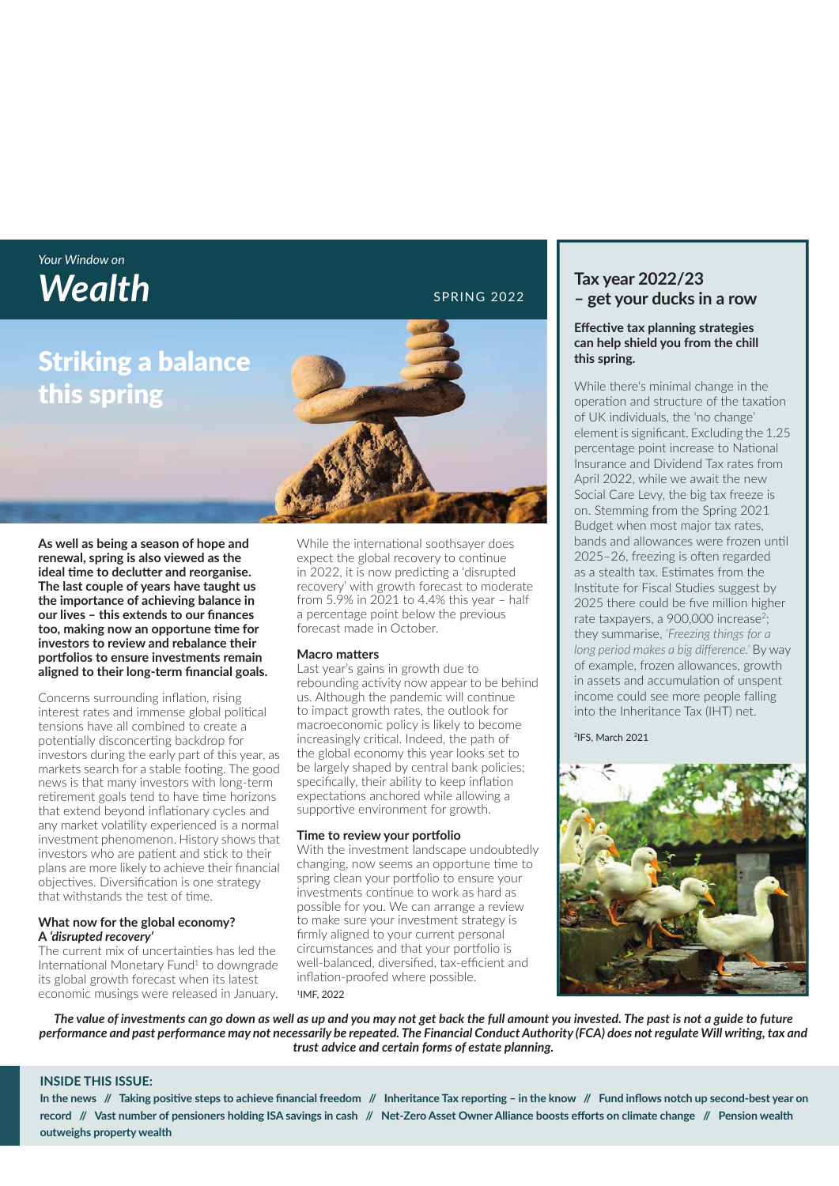## *Your Window on*  **Wealth** SPRING 2022

## Striking a balance this spring

**As well as being a season of hope and renewal, spring is also viewed as the**  ideal time to declutter and reorganise. **The last couple of years have taught us the importance of achieving balance in**  our lives - this extends to our finances too, making now an opportune time for **investors to review and rebalance their portf olios to ensure investments remain**  aligned to their long-term financial goals.

Concerns surrounding inflation, rising interest rates and immense global political tensions have all combined to create a potentially disconcerting backdrop for investors during the early part of this year, as markets search for a stable footing. The good news is that many investors with long-term retirement goals tend to have time horizons that extend beyond inflationary cycles and any market volatility experienced is a normal investment phenomenon. History shows that investors who are patient and stick to their plans are more likely to achieve their financial objectives. Diversification is one strategy that withstands the test of time.

#### **What now for the global economy? A** *'disrupted recovery'*

The current mix of uncertainties has led the International Monetary Fund<sup>1</sup> to downgrade its global growth forecast when its latest economic musings were released in January. While the international soothsayer does expect the global recovery to continue in 2022, it is now predicting a 'disrupted' recovery' with growth forecast to moderate from 5.9% in 2021 to 4.4% this year – half a percentage point below the previous forecast made in October.

#### **Macro matters**

Last year's gains in growth due to rebounding activity now appear to be behind us. Although the pandemic will continue to impact growth rates, the outlook for macroeconomic policy is likely to become increasingly critical. Indeed, the path of the global economy this year looks set to be largely shaped by central bank policies; specifically, their ability to keep inflation expectations anchored while allowing a supportive environment for growth.

#### **Time to review your portfolio**

With the investment landscape undoubtedly changing, now seems an opportune time to spring clean your portfolio to ensure your investments continue to work as hard as possible for you. We can arrange a review to make sure your investment strategy is firmly aligned to your current personal circumstances and that your portfolio is well-balanced, diversified, tax-efficient and inflation-proofed where possible. 1IMF, 2022

**Tax year 2022/23 – get your ducks in a row**

#### **Eff ecti ve tax planning strategies can help shield you from the chill this spring.**

While there's minimal change in the operation and structure of the taxation of UK individuals, the 'no change' element is significant. Excluding the 1.25 percentage point increase to National Insurance and Dividend Tax rates from April 2022, while we await the new Social Care Levy, the big tax freeze is on. Stemming from the Spring 2021 Budget when most major tax rates, bands and allowances were frozen until 2025–26, freezing is often regarded as a stealth tax. Estimates from the Institute for Fiscal Studies suggest by 2025 there could be five million higher rate taxpayers, a 900,000 increase<sup>2</sup>; they summarise, *'Freezing things for a*  long period makes a big difference.' By way of example, frozen allowances, growth in assets and accumulation of unspent income could see more people falling into the Inheritance Tax (IHT) net.

2IFS, March 2021



*The value of investments can go down as well as up and you may not get back the full amount you invested. The past is not a guide to future*  performance and past performance may not necessarily be repeated. The Financial Conduct Authority (FCA) does not regulate Will writing, tax and *trust advice and certain forms of estate planning.*

#### **INSIDE THIS ISSUE:**

In the news // Taking positive steps to achieve financial freedom // Inheritance Tax reporting - in the know // Fund inflows notch up second-best year on record // Vast number of pensioners holding ISA savings in cash // Net-Zero Asset Owner Alliance boosts efforts on climate change // Pension wealth **outweighs property wealth**

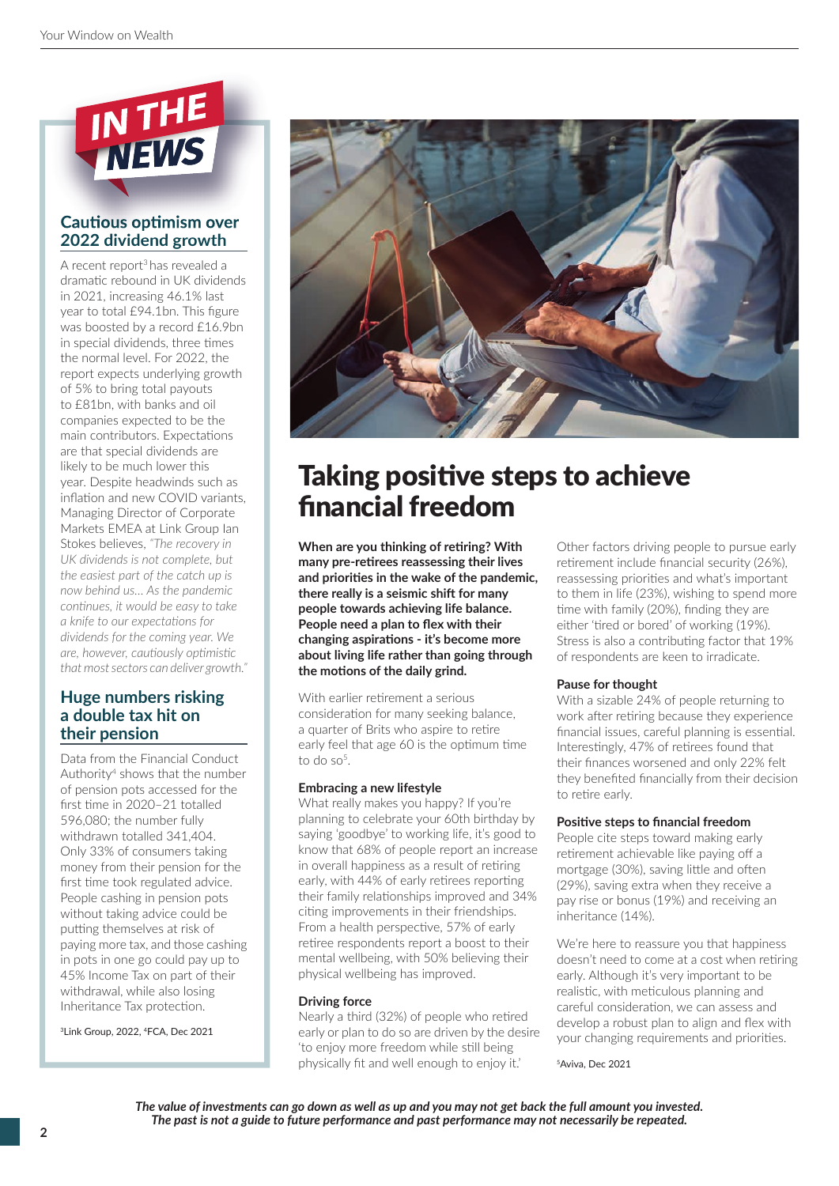

### **Cautious optimism over 2022 dividend growth**

A recent report3 has revealed a dramatic rebound in UK dividends in 2021, increasing 46.1% last year to total £94.1bn. This figure was boosted by a record £16.9bn in special dividends, three times the normal level. For 2022, the report expects underlying growth of 5% to bring total payouts to £81bn, with banks and oil companies expected to be the main contributors. Expectations are that special dividends are likely to be much lower this year. Despite headwinds such as inflation and new COVID variants. Managing Director of Corporate Markets EMEA at Link Group Ian Stokes believes, *"The recovery in UK dividends is not complete, but the easiest part of the catch up is now behind us… As the pandemic conti nues, it would be easy to take a* knife to our expectations for *dividends for the coming year. We are, however, cauti ously opti misti c that most sectors can deliver growth."*

### **Huge numbers risking a double tax hit on their pension**

Data from the Financial Conduct Authority4 shows that the number of pension pots accessed for the first time in 2020-21 totalled 596,080; the number fully withdrawn totalled 341,404. Only 33% of consumers taking money from their pension for the first time took regulated advice. People cashing in pension pots without taking advice could be putting themselves at risk of paying more tax, and those cashing in pots in one go could pay up to 45% Income Tax on part of their withdrawal, while also losing Inheritance Tax protection.

3Link Group, 2022, 4FCA, Dec 2021



# Taking positive steps to achieve financial freedom

**When are you thinking of retiring? With** many pre-retirees reassessing their lives and priorities in the wake of the pandemic. **there really is a seismic shift for many people towards achieving life balance.**  People need a plan to flex with their changing aspirations - it's become more **about living life rather than going through**  the motions of the daily grind.

With earlier retirement a serious consideration for many seeking balance, a quarter of Brits who aspire to retire early feel that age 60 is the optimum time to do so $5$ .

#### **Embracing a new lifestyle**

What really makes you happy? If you're planning to celebrate your 60th birthday by saying 'goodbye' to working life, it's good to know that 68% of people report an increase in overall happiness as a result of retiring early, with 44% of early retirees reporting their family relationships improved and 34% citing improvements in their friendships. From a health perspective, 57% of early retiree respondents report a boost to their mental wellbeing, with 50% believing their physical wellbeing has improved.

#### **Driving force**

Nearly a third (32%) of people who retired early or plan to do so are driven by the desire 'to enjoy more freedom while still being physically fit and well enough to enjoy it.'

Other factors driving people to pursue early retirement include financial security (26%), reassessing priorities and what's important to them in life (23%), wishing to spend more time with family (20%), finding they are either 'tired or bored' of working (19%). Stress is also a contributing factor that 19% of respondents are keen to irradicate.

#### **Pause for thought**

With a sizable 24% of people returning to work after retiring because they experience financial issues, careful planning is essential. Interestingly, 47% of retirees found that their finances worsened and only 22% felt they benefited financially from their decision to retire early.

#### **Positive steps to financial freedom**

People cite steps toward making early retirement achievable like paying off a mortgage (30%), saving little and often (29%), saving extra when they receive a pay rise or bonus (19%) and receiving an inheritance (14%).

We're here to reassure you that happiness doesn't need to come at a cost when retiring early. Although it's very important to be realistic, with meticulous planning and careful consideration, we can assess and develop a robust plan to align and flex with your changing requirements and priorities.

5Aviva, Dec 2021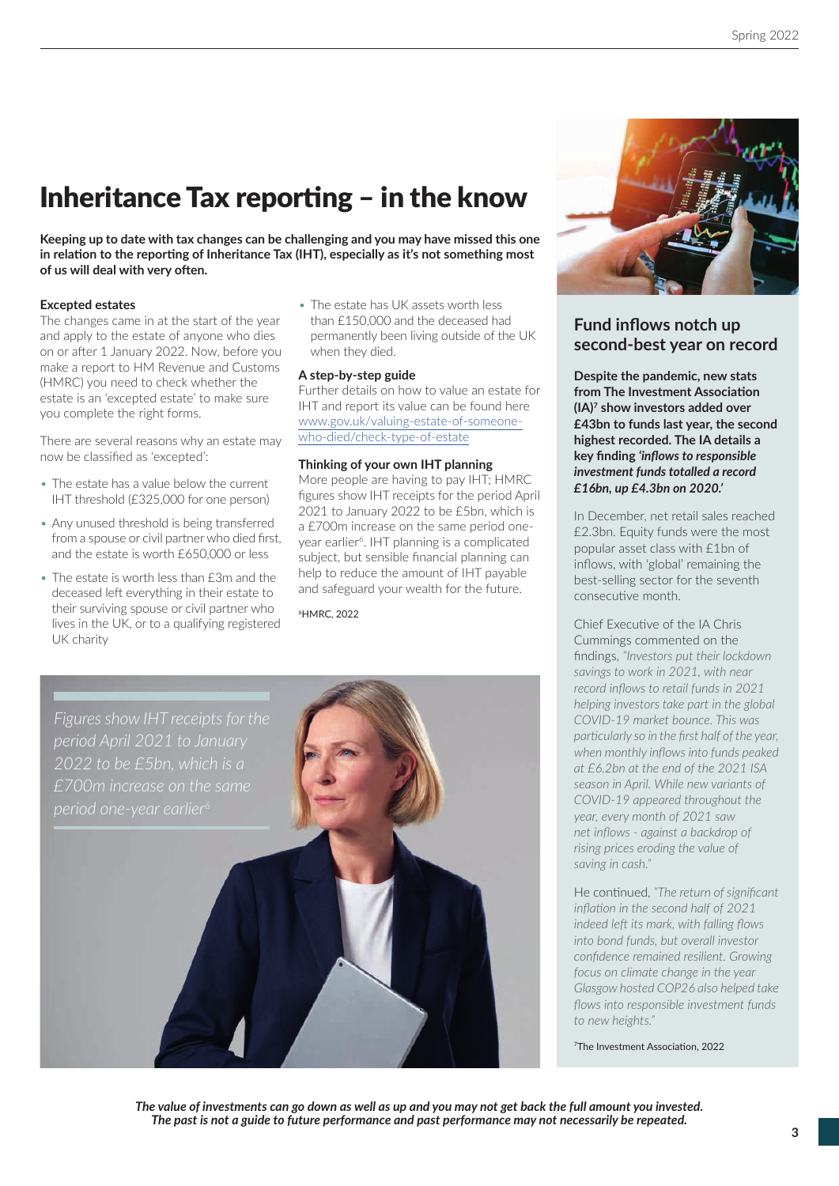# Inheritance Tax reporting  $-$  in the know

**Keeping up to date with tax changes can be challenging and you may have missed this one**  in relation to the reporting of Inheritance Tax (IHT), especially as it's not something most of us will deal with very often.

#### **Excepted estates**

The changes came in at the start of the year and apply to the estate of anyone who dies on or after 1 January 2022. Now, before you make a report to HM Revenue and Customs (HMRC) you need to check whether the estate is an 'excepted estate' to make sure you complete the right forms.

There are several reasons why an estate may now be classified as 'excepted':

- The estate has a value below the current IHT threshold (£325,000 for one person)
- Any unused threshold is being transferred from a spouse or civil partner who died first. and the estate is worth £650,000 or less
- The estate is worth less than £3m and the deceased left everything in their estate to their surviving spouse or civil partner who lives in the UK, or to a qualifying registered UK charity

• The estate has UK assets worth less than £150,000 and the deceased had permanently been living outside of the UK when they died.

#### **A step-by-step guide**

Further details on how to value an estate for IHT and report its value can be found here www.gov.uk/valuing-estate-of-someonewho-died/check-type-of-estate

#### **Thinking of your own IHT planning**

More people are having to pay IHT; HMRC figures show IHT receipts for the period April 2021 to January 2022 to be £5bn, which is a £700m increase on the same period oneyear earlier<sup>6</sup>. IHT planning is a complicated subject, but sensible financial planning can help to reduce the amount of IHT payable and safeguard your wealth for the future.

6HMRC, 2022





## **Fund inflows notch up second-best year on record**

**Despite the pandemic, new stats from The Investment Association (IA)7 show investors added over £43bn to funds last year, the second highest recorded. The IA details a key fi nding** *'infl ows to responsible investment funds totalled a record £16bn, up £4.3bn on 2020.'*

In December, net retail sales reached £2.3bn. Equity funds were the most popular asset class with £1bn of inflows, with 'global' remaining the best-selling sector for the seventh consecutive month.

Chief Executive of the IA Chris Cummings commented on the fi ndings, *"Investors put their lockdown savings to work in 2021, with near record inflows to retail funds in 2021 helping investors take part in the global COVID-19 market bounce. This was particularly so in the first half of the year.* when monthly inflows into funds peaked *at £6.2bn at the end of the 2021 ISA season in April. While new variants of COVID-19 appeared throughout the year, every month of 2021 saw net infl ows - against a backdrop of rising prices eroding the value of saving in cash."*

He continued, "The return of significant *infl ati on in the second half of 2021 indeed left its mark, with falling flows into bond funds, but overall investor confi dence remained resilient. Growing focus on climate change in the year Glasgow hosted COP26 also helped take fl ows into responsible investment funds to new heights."*

<sup>7</sup>The Investment Association, 2022

*The value of investments can go down as well as up and you may not get back the full amount you invested. The past is not a guide to future performance and past performance may not necessarily be repeated.*